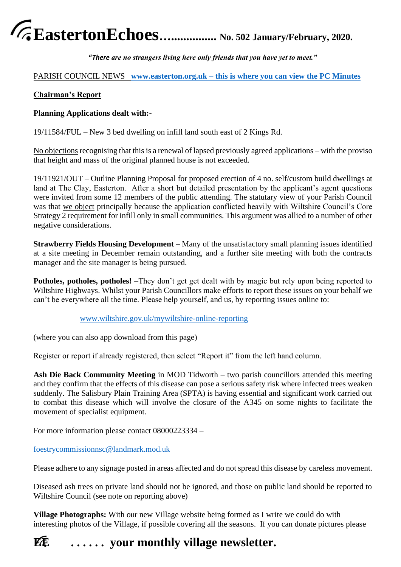# **EastertonEchoes…............... No. 502 January/February, 2020.**

**"***There are no strangers living here only friends that you have yet to meet."*

# PARISH COUNCIL NEWS **[www.easterton.org.uk](http://www.easterton.org.uk/) – this is where you can view the PC Minutes**

# **Chairman's Report**

# **Planning Applications dealt with:-**

19/11584/FUL – New 3 bed dwelling on infill land south east of 2 Kings Rd.

No objections recognising that this is a renewal of lapsed previously agreed applications – with the proviso that height and mass of the original planned house is not exceeded.

19/11921/OUT – Outline Planning Proposal for proposed erection of 4 no. self/custom build dwellings at land at The Clay, Easterton. After a short but detailed presentation by the applicant's agent questions were invited from some 12 members of the public attending. The statutary view of your Parish Council was that we object principally because the application conflicted heavily with Wiltshire Council's Core Strategy 2 requirement for infill only in small communities. This argument was allied to a number of other negative considerations.

**Strawberry Fields Housing Development –** Many of the unsatisfactory small planning issues identified at a site meeting in December remain outstanding, and a further site meeting with both the contracts manager and the site manager is being pursued.

**Potholes, potholes, potholes!** –They don't get get dealt with by magic but rely upon being reported to Wiltshire Highways. Whilst your Parish Councillors make efforts to report these issues on your behalf we can't be everywhere all the time. Please help yourself, and us, by reporting issues online to:

# [www.wiltshire.gov.uk/mywiltshire-online-reporting](http://www.wiltshire.gov.uk/mywiltshire-online-reporting)

(where you can also app download from this page)

Register or report if already registered, then select "Report it" from the left hand column.

**Ash Die Back Community Meeting** in MOD Tidworth – two parish councillors attended this meeting and they confirm that the effects of this disease can pose a serious safety risk where infected trees weaken suddenly. The Salisbury Plain Training Area (SPTA) is having essential and significant work carried out to combat this disease which will involve the closure of the A345 on some nights to facilitate the movement of specialist equipment.

For more information please contact 08000223334 –

[foestrycommissionnsc@landmark.mod.uk](mailto:foestrycommissionnsc@landmark.mod.uk)

Please adhere to any signage posted in areas affected and do not spread this disease by careless movement.

Diseased ash trees on private land should not be ignored, and those on public land should be reported to Wiltshire Council (see note on reporting above)

**Village Photographs:** With our new Village website being formed as I write we could do with interesting photos of the Village, if possible covering all the seasons. If you can donate pictures please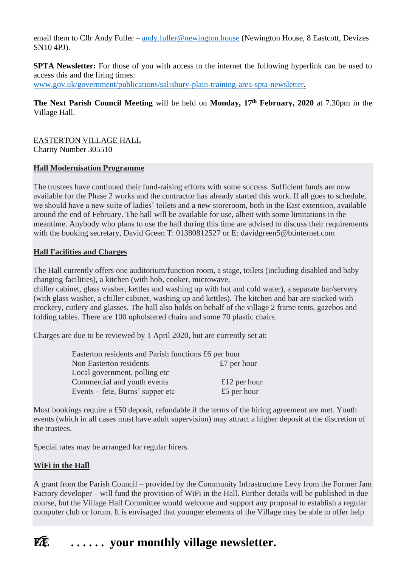email them to Cllr Andy Fuller – [andy.fuller@newington.house](mailto:andy.fuller@newington.house) (Newington House, 8 Eastcott, Devizes SN10 4PJ).

**SPTA Newsletter:** For those of you with access to the internet the following hyperlink can be used to access this and the firing times: [www.gov.uk/government/publications/salisbury-plain-training-area-spta-newsletter.](http://www.gov.uk/government/publications/salisbury-plain-training-area-spta-newsletter)

**The Next Parish Council Meeting** will be held on **Monday, 17th February, 2020** at 7.30pm in the Village Hall.

EASTERTON VILLAGE HALL Charity Number 305510

#### **Hall Modernisation Programme**

The trustees have continued their fund-raising efforts with some success. Sufficient funds are now available for the Phase 2 works and the contractor has already started this work. If all goes to schedule, we should have a new suite of ladies' toilets and a new storeroom, both in the East extension, available around the end of February. The hall will be available for use, albeit with some limitations in the meantime. Anybody who plans to use the hall during this time are advised to discuss their requirements with the booking secretary, David Green T: 01380812527 or E: davidgreen5@btinternet.com

## **Hall Facilities and Charges**

The Hall currently offers one auditorium/function room, a stage, toilets (including disabled and baby changing facilities), a kitchen (with hob, cooker, microwave,

chiller cabinet, glass washer, kettles and washing up with hot and cold water), a separate bar/servery (with glass washer, a chiller cabinet, washing up and kettles). The kitchen and bar are stocked with crockery, cutlery and glasses. The hall also holds on behalf of the village 2 frame tents, gazebos and folding tables. There are 100 upholstered chairs and some 70 plastic chairs.

Charges are due to be reviewed by 1 April 2020, but are currently set at:

| Easterton residents and Parish functions £6 per hour |              |
|------------------------------------------------------|--------------|
| Non Easterton residents                              | £7 per hour  |
| Local government, polling etc                        |              |
| Commercial and youth events                          | £12 per hour |
| Events – fete, Burns' supper etc                     | £5 per hour  |

Most bookings require a £50 deposit, refundable if the terms of the hiring agreement are met. Youth events (which in all cases must have adult supervision) may attract a higher deposit at the discretion of the trustees.

Special rates may be arranged for regular hirers.

#### **WiFi in the Hall**

A grant from the Parish Council – provided by the Community Infrastructure Levy from the Former Jam Factory developer – will fund the provision of WiFi in the Hall. Further details will be published in due course, but the Village Hall Committee would welcome and support any proposal to establish a regular computer club or forum. It is envisaged that younger elements of the Village may be able to offer help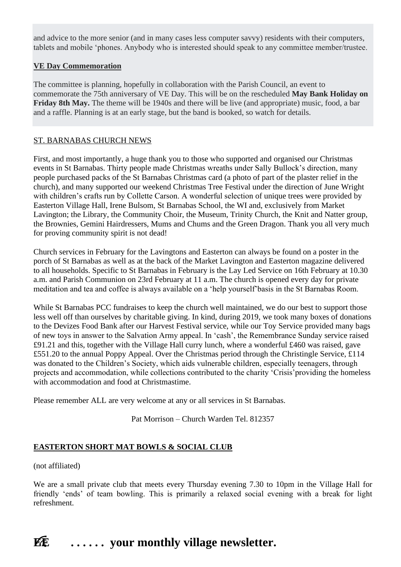and advice to the more senior (and in many cases less computer savvy) residents with their computers, tablets and mobile 'phones. Anybody who is interested should speak to any committee member/trustee.

## **VE Day Commemoration**

The committee is planning, hopefully in collaboration with the Parish Council, an event to commemorate the 75th anniversary of VE Day. This will be on the rescheduled **May Bank Holiday on Friday 8th May.** The theme will be 1940s and there will be live (and appropriate) music, food, a bar and a raffle. Planning is at an early stage, but the band is booked, so watch for details.

## ST. BARNABAS CHURCH NEWS

First, and most importantly, a huge thank you to those who supported and organised our Christmas events in St Barnabas. Thirty people made Christmas wreaths under Sally Bullock's direction, many people purchased packs of the St Barnabas Christmas card (a photo of part of the plaster relief in the church), and many supported our weekend Christmas Tree Festival under the direction of June Wright with children's crafts run by Collette Carson. A wonderful selection of unique trees were provided by Easterton Village Hall, Irene Bulsom, St Barnabas School, the WI and, exclusively from Market Lavington; the Library, the Community Choir, the Museum, Trinity Church, the Knit and Natter group, the Brownies, Gemini Hairdressers, Mums and Chums and the Green Dragon. Thank you all very much for proving community spirit is not dead!

Church services in February for the Lavingtons and Easterton can always be found on a poster in the porch of St Barnabas as well as at the back of the Market Lavington and Easterton magazine delivered to all households. Specific to St Barnabas in February is the Lay Led Service on 16th February at 10.30 a.m. and Parish Communion on 23rd February at 11 a.m. The church is opened every day for private meditation and tea and coffee is always available on a 'help yourself'basis in the St Barnabas Room.

While St Barnabas PCC fundraises to keep the church well maintained, we do our best to support those less well off than ourselves by charitable giving. In kind, during 2019, we took many boxes of donations to the Devizes Food Bank after our Harvest Festival service, while our Toy Service provided many bags of new toys in answer to the Salvation Army appeal. In 'cash', the Remembrance Sunday service raised £91.21 and this, together with the Village Hall curry lunch, where a wonderful £460 was raised, gave £551.20 to the annual Poppy Appeal. Over the Christmas period through the Christingle Service, £114 was donated to the Children's Society, which aids vulnerable children, especially teenagers, through projects and accommodation, while collections contributed to the charity 'Crisis'providing the homeless with accommodation and food at Christmastime.

Please remember ALL are very welcome at any or all services in St Barnabas.

Pat Morrison – Church Warden Tel. 812357

# **EASTERTON SHORT MAT BOWLS & SOCIAL CLUB**

#### (not affiliated)

We are a small private club that meets every Thursday evening 7.30 to 10pm in the Village Hall for friendly 'ends' of team bowling. This is primarily a relaxed social evening with a break for light refreshment.